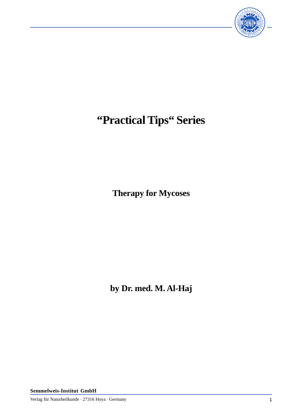

## **"Practical Tips" Series**

**Therapy for Mycoses**

**by Dr. med. M. Al-Haj**

**Semmelweis-Institut GmbH**

Verlag für Naturheilkunde · 27316 Hoya · Germany 1